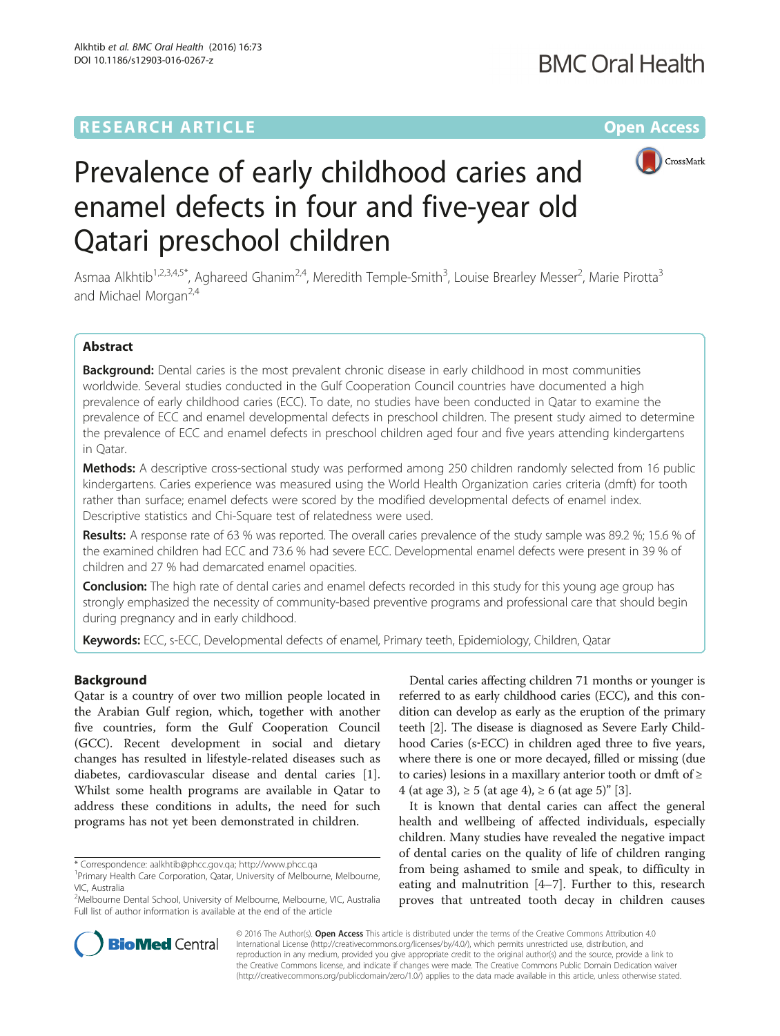## **RESEARCH ARTICLE External Structure Community Community Community Community Community Community Community Community**



# Prevalence of early childhood caries and enamel defects in four and five-year old Qatari preschool children

Asmaa Alkhtib<sup>1,2,3,4,5\*</sup>, Aghareed Ghanim<sup>2,4</sup>, Meredith Temple-Smith<sup>3</sup>, Louise Brearley Messer<sup>2</sup>, Marie Pirotta<sup>3</sup> and Michael Morgan<sup>2,4</sup>

## Abstract

Background: Dental caries is the most prevalent chronic disease in early childhood in most communities worldwide. Several studies conducted in the Gulf Cooperation Council countries have documented a high prevalence of early childhood caries (ECC). To date, no studies have been conducted in Qatar to examine the prevalence of ECC and enamel developmental defects in preschool children. The present study aimed to determine the prevalence of ECC and enamel defects in preschool children aged four and five years attending kindergartens in Qatar.

Methods: A descriptive cross-sectional study was performed among 250 children randomly selected from 16 public kindergartens. Caries experience was measured using the World Health Organization caries criteria (dmft) for tooth rather than surface; enamel defects were scored by the modified developmental defects of enamel index. Descriptive statistics and Chi-Square test of relatedness were used.

Results: A response rate of 63 % was reported. The overall caries prevalence of the study sample was 89.2 %; 15.6 % of the examined children had ECC and 73.6 % had severe ECC. Developmental enamel defects were present in 39 % of children and 27 % had demarcated enamel opacities.

**Conclusion:** The high rate of dental caries and enamel defects recorded in this study for this young age group has strongly emphasized the necessity of community-based preventive programs and professional care that should begin during pregnancy and in early childhood.

Keywords: ECC, s-ECC, Developmental defects of enamel, Primary teeth, Epidemiology, Children, Qatar

## Background

Qatar is a country of over two million people located in the Arabian Gulf region, which, together with another five countries, form the Gulf Cooperation Council (GCC). Recent development in social and dietary changes has resulted in lifestyle-related diseases such as diabetes, cardiovascular disease and dental caries [\[1](#page-6-0)]. Whilst some health programs are available in Qatar to address these conditions in adults, the need for such programs has not yet been demonstrated in children.

Dental caries affecting children 71 months or younger is referred to as early childhood caries (ECC), and this condition can develop as early as the eruption of the primary teeth [\[2](#page-6-0)]. The disease is diagnosed as Severe Early Childhood Caries (s‐ECC) in children aged three to five years, where there is one or more decayed, filled or missing (due to caries) lesions in a maxillary anterior tooth or dmft of  $\geq$ 4 (at age 3), ≥ 5 (at age 4), ≥ 6 (at age 5)" [\[3](#page-6-0)].

It is known that dental caries can affect the general health and wellbeing of affected individuals, especially children. Many studies have revealed the negative impact of dental caries on the quality of life of children ranging from being ashamed to smile and speak, to difficulty in eating and malnutrition [\[4](#page-6-0)–[7\]](#page-6-0). Further to this, research proves that untreated tooth decay in children causes



© 2016 The Author(s). Open Access This article is distributed under the terms of the Creative Commons Attribution 4.0 International License [\(http://creativecommons.org/licenses/by/4.0/](http://creativecommons.org/licenses/by/4.0/)), which permits unrestricted use, distribution, and reproduction in any medium, provided you give appropriate credit to the original author(s) and the source, provide a link to the Creative Commons license, and indicate if changes were made. The Creative Commons Public Domain Dedication waiver [\(http://creativecommons.org/publicdomain/zero/1.0/](http://creativecommons.org/publicdomain/zero/1.0/)) applies to the data made available in this article, unless otherwise stated.

<sup>\*</sup> Correspondence: [aalkhtib@phcc.gov.qa](mailto:aalkhtib@phcc.gov.qa); <http://www.phcc.qa> <sup>1</sup>

<sup>&</sup>lt;sup>1</sup> Primary Health Care Corporation, Qatar, University of Melbourne, Melbourne, VIC, Australia

<sup>&</sup>lt;sup>2</sup>Melbourne Dental School, University of Melbourne, Melbourne, VIC, Australia Full list of author information is available at the end of the article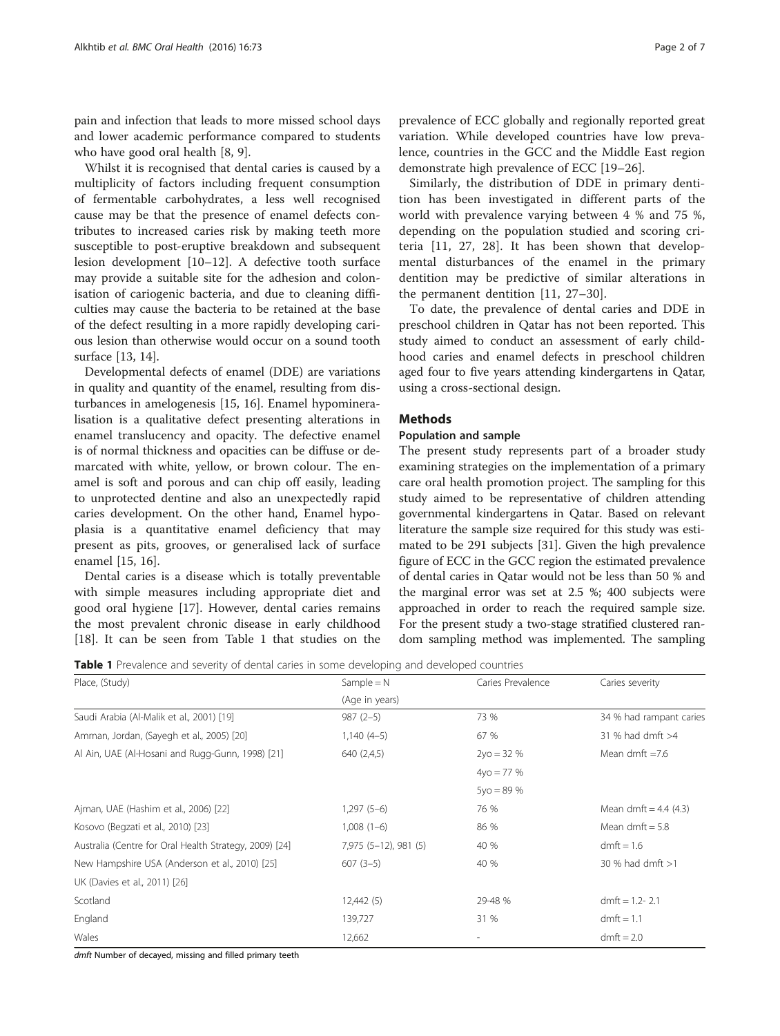pain and infection that leads to more missed school days and lower academic performance compared to students who have good oral health [\[8](#page-6-0), [9](#page-6-0)].

Whilst it is recognised that dental caries is caused by a multiplicity of factors including frequent consumption of fermentable carbohydrates, a less well recognised cause may be that the presence of enamel defects contributes to increased caries risk by making teeth more susceptible to post-eruptive breakdown and subsequent lesion development [\[10](#page-6-0)–[12\]](#page-6-0). A defective tooth surface may provide a suitable site for the adhesion and colonisation of cariogenic bacteria, and due to cleaning difficulties may cause the bacteria to be retained at the base of the defect resulting in a more rapidly developing carious lesion than otherwise would occur on a sound tooth surface [[13](#page-6-0), [14](#page-6-0)].

Developmental defects of enamel (DDE) are variations in quality and quantity of the enamel, resulting from disturbances in amelogenesis [[15, 16\]](#page-6-0). Enamel hypomineralisation is a qualitative defect presenting alterations in enamel translucency and opacity. The defective enamel is of normal thickness and opacities can be diffuse or demarcated with white, yellow, or brown colour. The enamel is soft and porous and can chip off easily, leading to unprotected dentine and also an unexpectedly rapid caries development. On the other hand, Enamel hypoplasia is a quantitative enamel deficiency that may present as pits, grooves, or generalised lack of surface enamel [\[15, 16\]](#page-6-0).

Dental caries is a disease which is totally preventable with simple measures including appropriate diet and good oral hygiene [[17](#page-6-0)]. However, dental caries remains the most prevalent chronic disease in early childhood [[18\]](#page-6-0). It can be seen from Table 1 that studies on the prevalence of ECC globally and regionally reported great variation. While developed countries have low prevalence, countries in the GCC and the Middle East region demonstrate high prevalence of ECC [[19](#page-6-0)–[26](#page-6-0)].

Similarly, the distribution of DDE in primary dentition has been investigated in different parts of the world with prevalence varying between 4 % and 75 %, depending on the population studied and scoring criteria [[11](#page-6-0), [27, 28\]](#page-6-0). It has been shown that developmental disturbances of the enamel in the primary dentition may be predictive of similar alterations in the permanent dentition [[11, 27](#page-6-0)–[30\]](#page-6-0).

To date, the prevalence of dental caries and DDE in preschool children in Qatar has not been reported. This study aimed to conduct an assessment of early childhood caries and enamel defects in preschool children aged four to five years attending kindergartens in Qatar, using a cross-sectional design.

## **Methods**

## Population and sample

The present study represents part of a broader study examining strategies on the implementation of a primary care oral health promotion project. The sampling for this study aimed to be representative of children attending governmental kindergartens in Qatar. Based on relevant literature the sample size required for this study was estimated to be 291 subjects [[31](#page-6-0)]. Given the high prevalence figure of ECC in the GCC region the estimated prevalence of dental caries in Qatar would not be less than 50 % and the marginal error was set at 2.5 %; 400 subjects were approached in order to reach the required sample size. For the present study a two-stage stratified clustered random sampling method was implemented. The sampling

Table 1 Prevalence and severity of dental caries in some developing and developed countries

| Place, (Study)                                         | Sample $=N$           | Caries Prevalence | Caries severity         |  |
|--------------------------------------------------------|-----------------------|-------------------|-------------------------|--|
|                                                        | (Age in years)        |                   |                         |  |
| Saudi Arabia (Al-Malik et al., 2001) [19]              | $987(2-5)$            | 73 %              | 34 % had rampant caries |  |
| Amman, Jordan, (Sayegh et al., 2005) [20]              | $1,140(4-5)$          | 67 %              | 31 % had dmft $>4$      |  |
| Al Ain, UAE (Al-Hosani and Rugg-Gunn, 1998) [21]       | 640(2,4,5)            | $2y0 = 32%$       | Mean dmft $=7.6$        |  |
|                                                        |                       | $4y0 = 77%$       |                         |  |
|                                                        |                       | $5y0 = 89%$       |                         |  |
| Ajman, UAE (Hashim et al., 2006) [22]                  | $1,297(5-6)$          | 76 %              | Mean dmft = $4.4$ (4.3) |  |
| Kosovo (Begzati et al., 2010) [23]                     | $1,008(1-6)$          | 86 %              | Mean dmft = $5.8$       |  |
| Australia (Centre for Oral Health Strategy, 2009) [24] | 7,975 (5-12), 981 (5) | 40 %              | $dmft = 1.6$            |  |
| New Hampshire USA (Anderson et al., 2010) [25]         | $607(3-5)$            | 40 %              | 30 % had dmft $>1$      |  |
| UK (Davies et al., 2011) [26]                          |                       |                   |                         |  |
| Scotland                                               | 12,442(5)             | 29-48 %           | $dmft = 1.2 - 2.1$      |  |
| England                                                | 139,727               | 31 %              | $dmft = 1.1$            |  |
| Wales                                                  | 12,662                |                   | $dmft = 2.0$            |  |

dmft Number of decayed, missing and filled primary teeth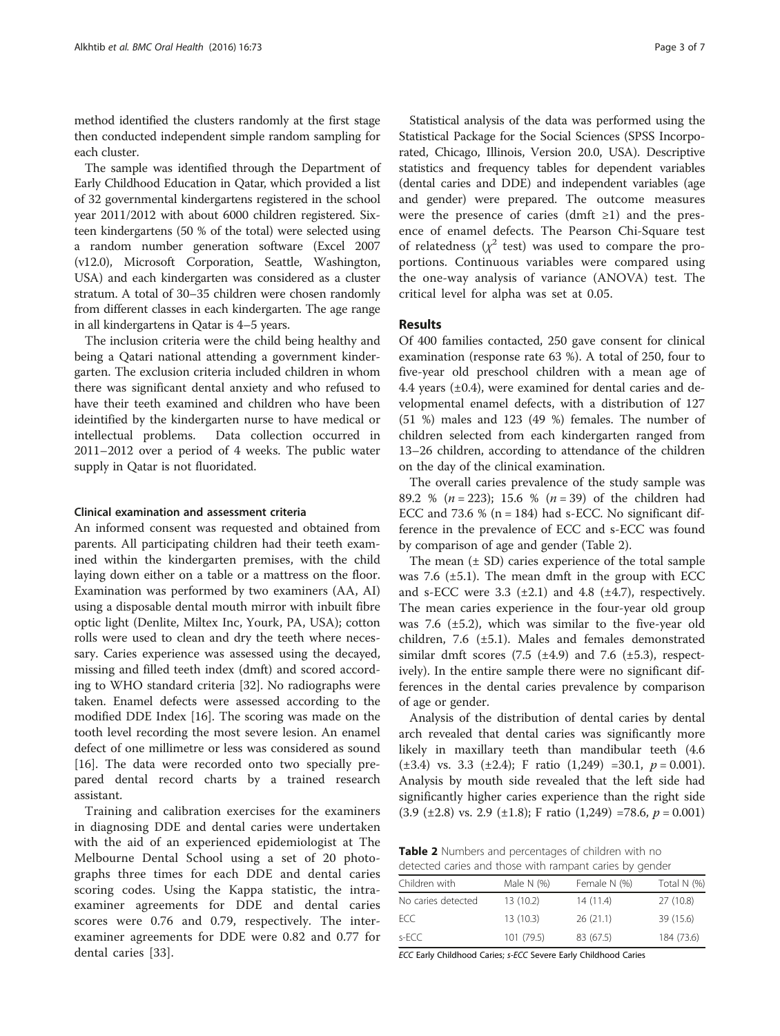method identified the clusters randomly at the first stage then conducted independent simple random sampling for each cluster.

The sample was identified through the Department of Early Childhood Education in Qatar, which provided a list of 32 governmental kindergartens registered in the school year 2011/2012 with about 6000 children registered. Sixteen kindergartens (50 % of the total) were selected using a random number generation software (Excel 2007 (v12.0), Microsoft Corporation, Seattle, Washington, USA) and each kindergarten was considered as a cluster stratum. A total of 30–35 children were chosen randomly from different classes in each kindergarten. The age range in all kindergartens in Qatar is 4–5 years.

The inclusion criteria were the child being healthy and being a Qatari national attending a government kindergarten. The exclusion criteria included children in whom there was significant dental anxiety and who refused to have their teeth examined and children who have been ideintified by the kindergarten nurse to have medical or intellectual problems. Data collection occurred in 2011–2012 over a period of 4 weeks. The public water supply in Qatar is not fluoridated.

## Clinical examination and assessment criteria

An informed consent was requested and obtained from parents. All participating children had their teeth examined within the kindergarten premises, with the child laying down either on a table or a mattress on the floor. Examination was performed by two examiners (AA, AI) using a disposable dental mouth mirror with inbuilt fibre optic light (Denlite, Miltex Inc, Yourk, PA, USA); cotton rolls were used to clean and dry the teeth where necessary. Caries experience was assessed using the decayed, missing and filled teeth index (dmft) and scored according to WHO standard criteria [[32\]](#page-6-0). No radiographs were taken. Enamel defects were assessed according to the modified DDE Index [[16\]](#page-6-0). The scoring was made on the tooth level recording the most severe lesion. An enamel defect of one millimetre or less was considered as sound [[16\]](#page-6-0). The data were recorded onto two specially prepared dental record charts by a trained research assistant.

Training and calibration exercises for the examiners in diagnosing DDE and dental caries were undertaken with the aid of an experienced epidemiologist at The Melbourne Dental School using a set of 20 photographs three times for each DDE and dental caries scoring codes. Using the Kappa statistic, the intraexaminer agreements for DDE and dental caries scores were 0.76 and 0.79, respectively. The interexaminer agreements for DDE were 0.82 and 0.77 for dental caries [\[33](#page-6-0)].

Statistical analysis of the data was performed using the Statistical Package for the Social Sciences (SPSS Incorporated, Chicago, Illinois, Version 20.0, USA). Descriptive statistics and frequency tables for dependent variables (dental caries and DDE) and independent variables (age and gender) were prepared. The outcome measures were the presence of caries (dmft  $\geq 1$ ) and the presence of enamel defects. The Pearson Chi-Square test of relatedness ( $\chi^2$  test) was used to compare the proportions. Continuous variables were compared using the one-way analysis of variance (ANOVA) test. The critical level for alpha was set at 0.05.

### Results

Of 400 families contacted, 250 gave consent for clinical examination (response rate 63 %). A total of 250, four to five-year old preschool children with a mean age of 4.4 years (±0.4), were examined for dental caries and developmental enamel defects, with a distribution of 127 (51 %) males and 123 (49 %) females. The number of children selected from each kindergarten ranged from 13–26 children, according to attendance of the children on the day of the clinical examination.

The overall caries prevalence of the study sample was 89.2 % ( $n = 223$ ); 15.6 % ( $n = 39$ ) of the children had ECC and 73.6 % ( $n = 184$ ) had s-ECC. No significant difference in the prevalence of ECC and s-ECC was found by comparison of age and gender (Table 2).

The mean  $(\pm SD)$  caries experience of the total sample was 7.6  $(\pm 5.1)$ . The mean dmft in the group with ECC and s-ECC were  $3.3$  ( $\pm 2.1$ ) and  $4.8$  ( $\pm 4.7$ ), respectively. The mean caries experience in the four-year old group was 7.6 (±5.2), which was similar to the five-year old children, 7.6 (±5.1). Males and females demonstrated similar dmft scores  $(7.5 \text{ (+4.9) and } 7.6 \text{ (+5.3)}, \text{respect-}$ ively). In the entire sample there were no significant differences in the dental caries prevalence by comparison of age or gender.

Analysis of the distribution of dental caries by dental arch revealed that dental caries was significantly more likely in maxillary teeth than mandibular teeth (4.6  $(\pm 3.4)$  vs. 3.3  $(\pm 2.4)$ ; F ratio  $(1,249)$  =30.1,  $p = 0.001$ ). Analysis by mouth side revealed that the left side had significantly higher caries experience than the right side  $(3.9 \text{ (+2.8) vs. } 2.9 \text{ (+1.8)}; \text{ F ratio } (1,249) = 78.6, p = 0.001)$ 

Table 2 Numbers and percentages of children with no detected caries and those with rampant caries by gender

| Children with      | Male N $(%)$ | Female N (%) | Total N $(%)$ |
|--------------------|--------------|--------------|---------------|
| No caries detected | 13(10.2)     | 14(11.4)     | 27 (10.8)     |
| FCC                | 13(10.3)     | 26(21.1)     | 39 (15.6)     |
| s-ECC              | 101 (79.5)   | 83 (67.5)    | 184 (73.6)    |

ECC Early Childhood Caries; s-ECC Severe Early Childhood Caries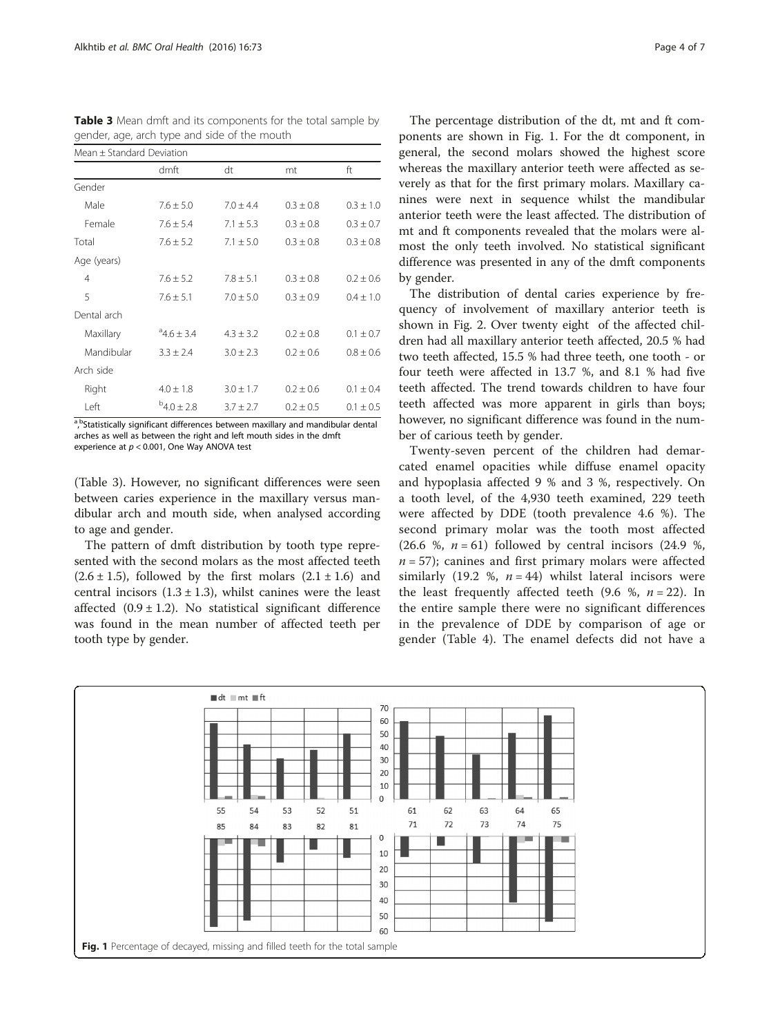| Mean ± Standard Deviation |                   |               |               |               |  |
|---------------------------|-------------------|---------------|---------------|---------------|--|
|                           | dmft              | dt            | mt            | ft            |  |
| Gender                    |                   |               |               |               |  |
| Male                      | $7.6 \pm 5.0$     | $7.0 \pm 4.4$ | $0.3 \pm 0.8$ | $0.3 \pm 1.0$ |  |
| Female                    | $7.6 \pm 5.4$     | $7.1 \pm 5.3$ | $0.3 \pm 0.8$ | $0.3 \pm 0.7$ |  |
| Total                     | $7.6 \pm 5.2$     | $7.1 \pm 5.0$ | $0.3 \pm 0.8$ | $0.3 \pm 0.8$ |  |
| Age (years)               |                   |               |               |               |  |
| $\overline{4}$            | $7.6 \pm 5.2$     | $7.8 \pm 5.1$ | $0.3 \pm 0.8$ | $0.2 \pm 0.6$ |  |
| 5                         | $7.6 \pm 5.1$     | $7.0 \pm 5.0$ | $0.3 \pm 0.9$ | $0.4 \pm 1.0$ |  |
| Dental arch               |                   |               |               |               |  |
| Maxillary                 | $4.6 \pm 3.4$     | $4.3 \pm 3.2$ | $0.2 \pm 0.8$ | $0.1 \pm 0.7$ |  |
| Mandibular                | $3.3 \pm 2.4$     | $3.0 \pm 2.3$ | $0.2 \pm 0.6$ | $0.8 \pm 0.6$ |  |
| Arch side                 |                   |               |               |               |  |
| Right                     | $4.0 \pm 1.8$     | $3.0 \pm 1.7$ | $0.2 \pm 0.6$ | $0.1 \pm 0.4$ |  |
| Left                      | $^{b}4.0 \pm 2.8$ | $3.7 \pm 2.7$ | $0.2 \pm 0.5$ | $0.1 \pm 0.5$ |  |

Table 3 Mean dmft and its components for the total sample by gender, age, arch type and side of the mouth

<sup>a b</sup>Statistically significant differences between maxillary and mandibular dental , arches as well as between the right and left mouth sides in the dmft experience at p < 0.001, One Way ANOVA test

(Table 3). However, no significant differences were seen between caries experience in the maxillary versus mandibular arch and mouth side, when analysed according to age and gender.

The pattern of dmft distribution by tooth type represented with the second molars as the most affected teeth  $(2.6 \pm 1.5)$ , followed by the first molars  $(2.1 \pm 1.6)$  and central incisors  $(1.3 \pm 1.3)$ , whilst canines were the least affected  $(0.9 \pm 1.2)$ . No statistical significant difference was found in the mean number of affected teeth per tooth type by gender.

The percentage distribution of the dt, mt and ft components are shown in Fig. 1. For the dt component, in general, the second molars showed the highest score whereas the maxillary anterior teeth were affected as severely as that for the first primary molars. Maxillary canines were next in sequence whilst the mandibular anterior teeth were the least affected. The distribution of mt and ft components revealed that the molars were almost the only teeth involved. No statistical significant difference was presented in any of the dmft components by gender.

The distribution of dental caries experience by frequency of involvement of maxillary anterior teeth is shown in Fig. [2](#page-4-0). Over twenty eight of the affected children had all maxillary anterior teeth affected, 20.5 % had two teeth affected, 15.5 % had three teeth, one tooth - or four teeth were affected in 13.7 %, and 8.1 % had five teeth affected. The trend towards children to have four teeth affected was more apparent in girls than boys; however, no significant difference was found in the number of carious teeth by gender.

Twenty-seven percent of the children had demarcated enamel opacities while diffuse enamel opacity and hypoplasia affected 9 % and 3 %, respectively. On a tooth level, of the 4,930 teeth examined, 229 teeth were affected by DDE (tooth prevalence 4.6 %). The second primary molar was the tooth most affected (26.6 %,  $n = 61$ ) followed by central incisors (24.9 %,  $n = 57$ ); canines and first primary molars were affected similarly (19.2 %,  $n = 44$ ) whilst lateral incisors were the least frequently affected teeth (9.6 %,  $n = 22$ ). In the entire sample there were no significant differences in the prevalence of DDE by comparison of age or gender (Table [4\)](#page-4-0). The enamel defects did not have a

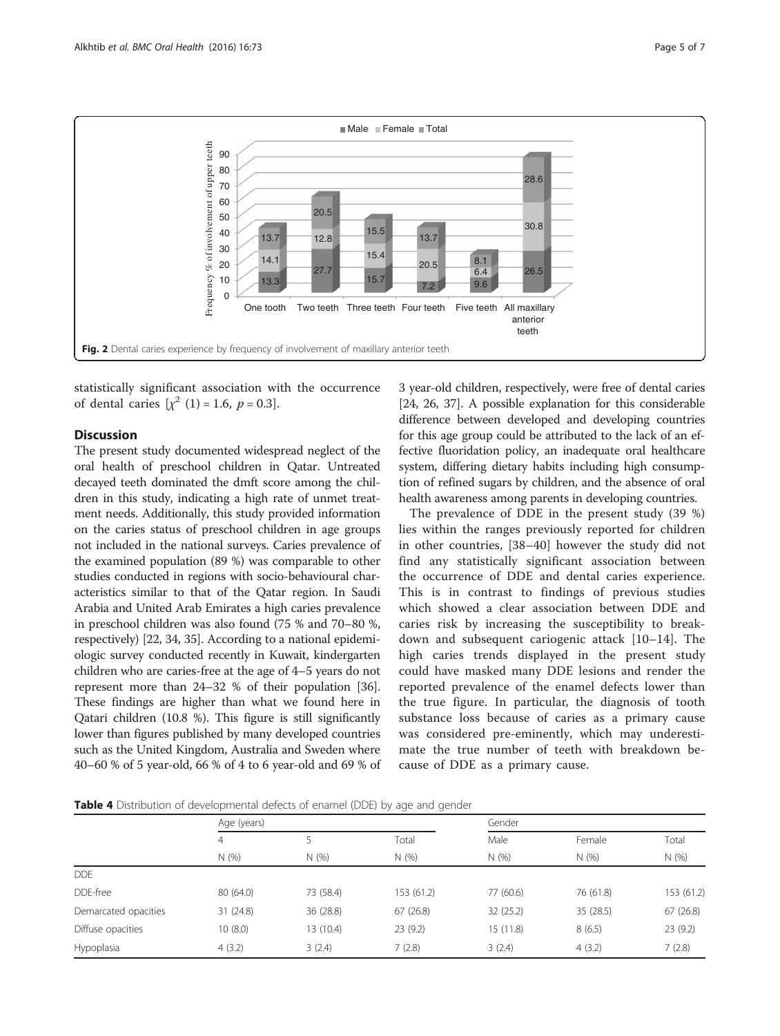<span id="page-4-0"></span>

statistically significant association with the occurrence of dental caries  $[\chi^2 (1) = 1.6, p = 0.3]$ .

## **Discussion**

The present study documented widespread neglect of the oral health of preschool children in Qatar. Untreated decayed teeth dominated the dmft score among the children in this study, indicating a high rate of unmet treatment needs. Additionally, this study provided information on the caries status of preschool children in age groups not included in the national surveys. Caries prevalence of the examined population (89 %) was comparable to other studies conducted in regions with socio-behavioural characteristics similar to that of the Qatar region. In Saudi Arabia and United Arab Emirates a high caries prevalence in preschool children was also found (75 % and 70–80 %, respectively) [\[22, 34](#page-6-0), [35](#page-6-0)]. According to a national epidemiologic survey conducted recently in Kuwait, kindergarten children who are caries-free at the age of 4–5 years do not represent more than 24–32 % of their population [[36](#page-6-0)]. These findings are higher than what we found here in Qatari children (10.8 %). This figure is still significantly lower than figures published by many developed countries such as the United Kingdom, Australia and Sweden where 40–60 % of 5 year-old, 66 % of 4 to 6 year-old and 69 % of 3 year-old children, respectively, were free of dental caries [[24](#page-6-0), [26](#page-6-0), [37\]](#page-6-0). A possible explanation for this considerable difference between developed and developing countries for this age group could be attributed to the lack of an effective fluoridation policy, an inadequate oral healthcare system, differing dietary habits including high consumption of refined sugars by children, and the absence of oral health awareness among parents in developing countries.

The prevalence of DDE in the present study (39 %) lies within the ranges previously reported for children in other countries, [\[38](#page-6-0)–[40](#page-6-0)] however the study did not find any statistically significant association between the occurrence of DDE and dental caries experience. This is in contrast to findings of previous studies which showed a clear association between DDE and caries risk by increasing the susceptibility to breakdown and subsequent cariogenic attack [[10](#page-6-0)–[14\]](#page-6-0). The high caries trends displayed in the present study could have masked many DDE lesions and render the reported prevalence of the enamel defects lower than the true figure. In particular, the diagnosis of tooth substance loss because of caries as a primary cause was considered pre-eminently, which may underestimate the true number of teeth with breakdown because of DDE as a primary cause.

**Table 4** Distribution of developmental defects of enamel (DDE) by age and gender

|                      |                | Age (years) |            |           | Gender    |            |  |
|----------------------|----------------|-------------|------------|-----------|-----------|------------|--|
|                      | $\overline{4}$ | 5           | Total      | Male      | Female    | Total      |  |
|                      | N(% )          | N(% )       | N(%)       | N(%)      | N(%)      | N(% )      |  |
| DDE.                 |                |             |            |           |           |            |  |
| DDE-free             | 80 (64.0)      | 73 (58.4)   | 153 (61.2) | 77 (60.6) | 76 (61.8) | 153 (61.2) |  |
| Demarcated opacities | 31(24.8)       | 36 (28.8)   | 67(26.8)   | 32 (25.2) | 35 (28.5) | 67(26.8)   |  |
| Diffuse opacities    | 10(8.0)        | 13 (10.4)   | 23(9.2)    | 15 (11.8) | 8(6.5)    | 23(9.2)    |  |
| Hypoplasia           | 4(3.2)         | 3(2.4)      | 7(2.8)     | 3(2.4)    | 4(3.2)    | 7(2.8)     |  |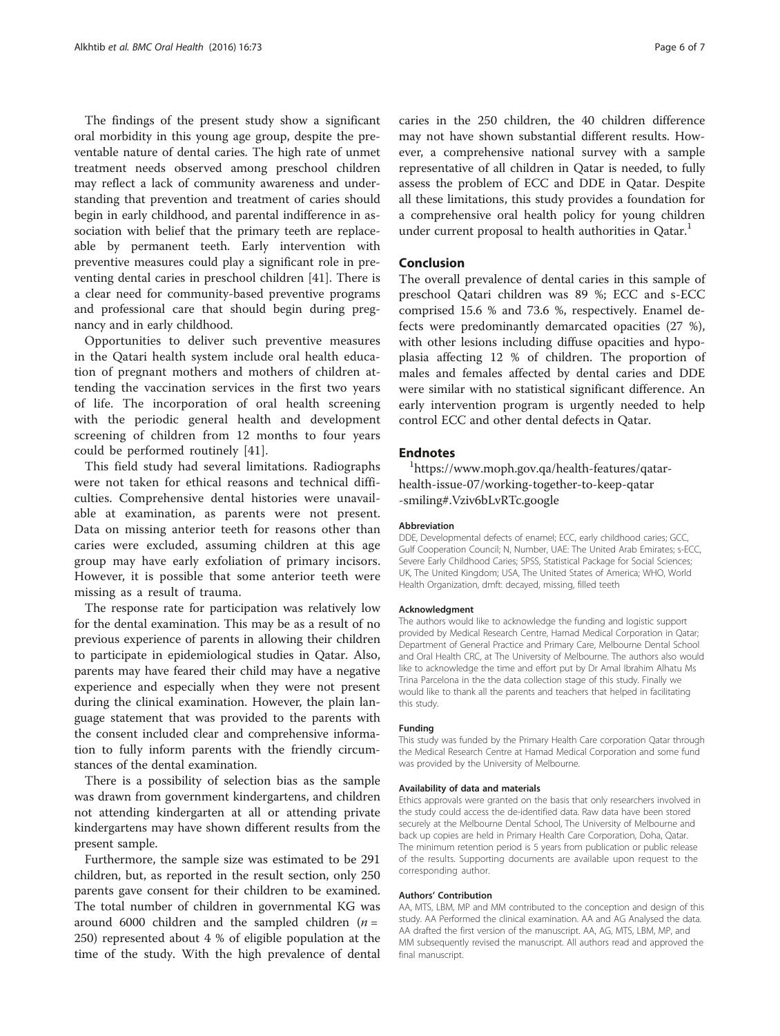The findings of the present study show a significant oral morbidity in this young age group, despite the preventable nature of dental caries. The high rate of unmet treatment needs observed among preschool children may reflect a lack of community awareness and understanding that prevention and treatment of caries should begin in early childhood, and parental indifference in association with belief that the primary teeth are replaceable by permanent teeth. Early intervention with preventive measures could play a significant role in preventing dental caries in preschool children [[41](#page-6-0)]. There is a clear need for community-based preventive programs and professional care that should begin during pregnancy and in early childhood.

Opportunities to deliver such preventive measures in the Qatari health system include oral health education of pregnant mothers and mothers of children attending the vaccination services in the first two years of life. The incorporation of oral health screening with the periodic general health and development screening of children from 12 months to four years could be performed routinely [\[41](#page-6-0)].

This field study had several limitations. Radiographs were not taken for ethical reasons and technical difficulties. Comprehensive dental histories were unavailable at examination, as parents were not present. Data on missing anterior teeth for reasons other than caries were excluded, assuming children at this age group may have early exfoliation of primary incisors. However, it is possible that some anterior teeth were missing as a result of trauma.

The response rate for participation was relatively low for the dental examination. This may be as a result of no previous experience of parents in allowing their children to participate in epidemiological studies in Qatar. Also, parents may have feared their child may have a negative experience and especially when they were not present during the clinical examination. However, the plain language statement that was provided to the parents with the consent included clear and comprehensive information to fully inform parents with the friendly circumstances of the dental examination.

There is a possibility of selection bias as the sample was drawn from government kindergartens, and children not attending kindergarten at all or attending private kindergartens may have shown different results from the present sample.

Furthermore, the sample size was estimated to be 291 children, but, as reported in the result section, only 250 parents gave consent for their children to be examined. The total number of children in governmental KG was around 6000 children and the sampled children ( $n =$ 250) represented about 4 % of eligible population at the time of the study. With the high prevalence of dental caries in the 250 children, the 40 children difference may not have shown substantial different results. However, a comprehensive national survey with a sample representative of all children in Qatar is needed, to fully assess the problem of ECC and DDE in Qatar. Despite all these limitations, this study provides a foundation for a comprehensive oral health policy for young children under current proposal to health authorities in Oatar.<sup>1</sup>

## Conclusion

The overall prevalence of dental caries in this sample of preschool Qatari children was 89 %; ECC and s-ECC comprised 15.6 % and 73.6 %, respectively. Enamel defects were predominantly demarcated opacities (27 %), with other lesions including diffuse opacities and hypoplasia affecting 12 % of children. The proportion of males and females affected by dental caries and DDE were similar with no statistical significant difference. An early intervention program is urgently needed to help control ECC and other dental defects in Qatar.

## **Endnotes**

https://www.moph.gov.qa/health-features/qatarhealth-issue-07/working-together-to-keep-qatar -smiling#.Vziv6bLvRTc.google

#### Abbreviation

DDE, Developmental defects of enamel; ECC, early childhood caries; GCC, Gulf Cooperation Council; N, Number, UAE: The United Arab Emirates; s-ECC, Severe Early Childhood Caries; SPSS, Statistical Package for Social Sciences; UK, The United Kingdom; USA, The United States of America; WHO, World Health Organization, dmft: decayed, missing, filled teeth

#### Acknowledgment

The authors would like to acknowledge the funding and logistic support provided by Medical Research Centre, Hamad Medical Corporation in Qatar; Department of General Practice and Primary Care, Melbourne Dental School and Oral Health CRC, at The University of Melbourne. The authors also would like to acknowledge the time and effort put by Dr Amal Ibrahim Alhatu Ms Trina Parcelona in the the data collection stage of this study. Finally we would like to thank all the parents and teachers that helped in facilitating this study.

#### Funding

This study was funded by the Primary Health Care corporation Qatar through the Medical Research Centre at Hamad Medical Corporation and some fund was provided by the University of Melbourne.

#### Availability of data and materials

Ethics approvals were granted on the basis that only researchers involved in the study could access the de-identified data. Raw data have been stored securely at the Melbourne Dental School, The University of Melbourne and back up copies are held in Primary Health Care Corporation, Doha, Qatar. The minimum retention period is 5 years from publication or public release of the results. Supporting documents are available upon request to the corresponding author.

#### Authors' Contribution

AA, MTS, LBM, MP and MM contributed to the conception and design of this study. AA Performed the clinical examination. AA and AG Analysed the data. AA drafted the first version of the manuscript. AA, AG, MTS, LBM, MP, and MM subsequently revised the manuscript. All authors read and approved the final manuscript.